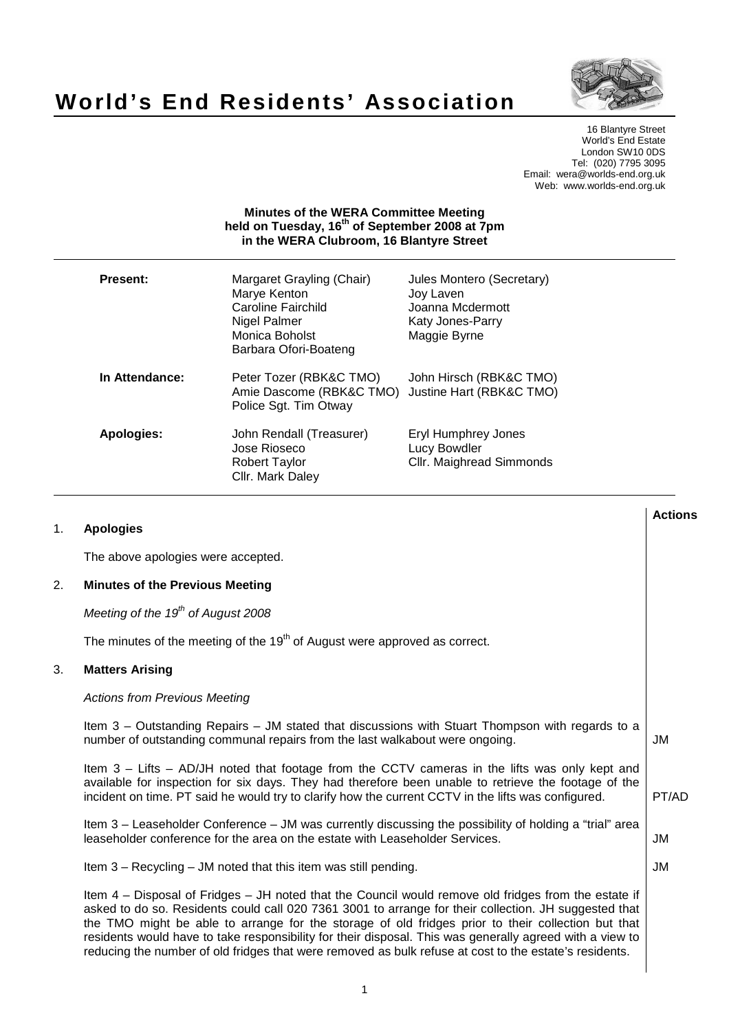

# **World's End Residents' Association**

16 Blantyre Street World's End Estate London SW10 0DS Tel: (020) 7795 3095 Email: wera@worlds-end.org.uk Web: www.worlds-end.org.uk

# **Minutes of the WERA Committee Meeting held on Tuesday, 16th of September 2008 at 7pm in the WERA Clubroom, 16 Blantyre Street**

| Present:       | Margaret Grayling (Chair)<br>Marye Kenton<br><b>Caroline Fairchild</b><br>Nigel Palmer<br>Monica Boholst<br>Barbara Ofori-Boateng | Jules Montero (Secretary)<br>Joy Laven<br>Joanna Mcdermott<br>Katy Jones-Parry<br>Maggie Byrne |
|----------------|-----------------------------------------------------------------------------------------------------------------------------------|------------------------------------------------------------------------------------------------|
| In Attendance: | Peter Tozer (RBK&C TMO)<br>Amie Dascome (RBK&C TMO)<br>Police Sgt. Tim Otway                                                      | John Hirsch (RBK&C TMO)<br>Justine Hart (RBK&C TMO)                                            |
| Apologies:     | John Rendall (Treasurer)<br>Jose Rioseco<br>Robert Taylor<br>Cllr. Mark Daley                                                     | Eryl Humphrey Jones<br>Lucy Bowdler<br><b>Cllr. Maighread Simmonds</b>                         |

|    |                                                                                                                                                                                                                                                                                                                                                                                                                                                                                                                                           | <b>Actions</b> |
|----|-------------------------------------------------------------------------------------------------------------------------------------------------------------------------------------------------------------------------------------------------------------------------------------------------------------------------------------------------------------------------------------------------------------------------------------------------------------------------------------------------------------------------------------------|----------------|
| 1. | <b>Apologies</b>                                                                                                                                                                                                                                                                                                                                                                                                                                                                                                                          |                |
|    | The above apologies were accepted.                                                                                                                                                                                                                                                                                                                                                                                                                                                                                                        |                |
| 2. | <b>Minutes of the Previous Meeting</b>                                                                                                                                                                                                                                                                                                                                                                                                                                                                                                    |                |
|    | Meeting of the $19th$ of August 2008                                                                                                                                                                                                                                                                                                                                                                                                                                                                                                      |                |
|    | The minutes of the meeting of the $19th$ of August were approved as correct.                                                                                                                                                                                                                                                                                                                                                                                                                                                              |                |
| 3. | <b>Matters Arising</b>                                                                                                                                                                                                                                                                                                                                                                                                                                                                                                                    |                |
|    | <b>Actions from Previous Meeting</b>                                                                                                                                                                                                                                                                                                                                                                                                                                                                                                      |                |
|    | Item 3 – Outstanding Repairs – JM stated that discussions with Stuart Thompson with regards to a<br>number of outstanding communal repairs from the last walkabout were ongoing.                                                                                                                                                                                                                                                                                                                                                          | JM             |
|    | Item $3 -$ Lifts $-$ AD/JH noted that footage from the CCTV cameras in the lifts was only kept and<br>available for inspection for six days. They had therefore been unable to retrieve the footage of the<br>incident on time. PT said he would try to clarify how the current CCTV in the lifts was configured.                                                                                                                                                                                                                         | PT/AD          |
|    | Item 3 – Leaseholder Conference – JM was currently discussing the possibility of holding a "trial" area<br>leaseholder conference for the area on the estate with Leaseholder Services.                                                                                                                                                                                                                                                                                                                                                   | <b>JM</b>      |
|    | Item 3 – Recycling – JM noted that this item was still pending.                                                                                                                                                                                                                                                                                                                                                                                                                                                                           | JM             |
|    | Item 4 - Disposal of Fridges - JH noted that the Council would remove old fridges from the estate if<br>asked to do so. Residents could call 020 7361 3001 to arrange for their collection. JH suggested that<br>the TMO might be able to arrange for the storage of old fridges prior to their collection but that<br>residents would have to take responsibility for their disposal. This was generally agreed with a view to<br>reducing the number of old fridges that were removed as bulk refuse at cost to the estate's residents. |                |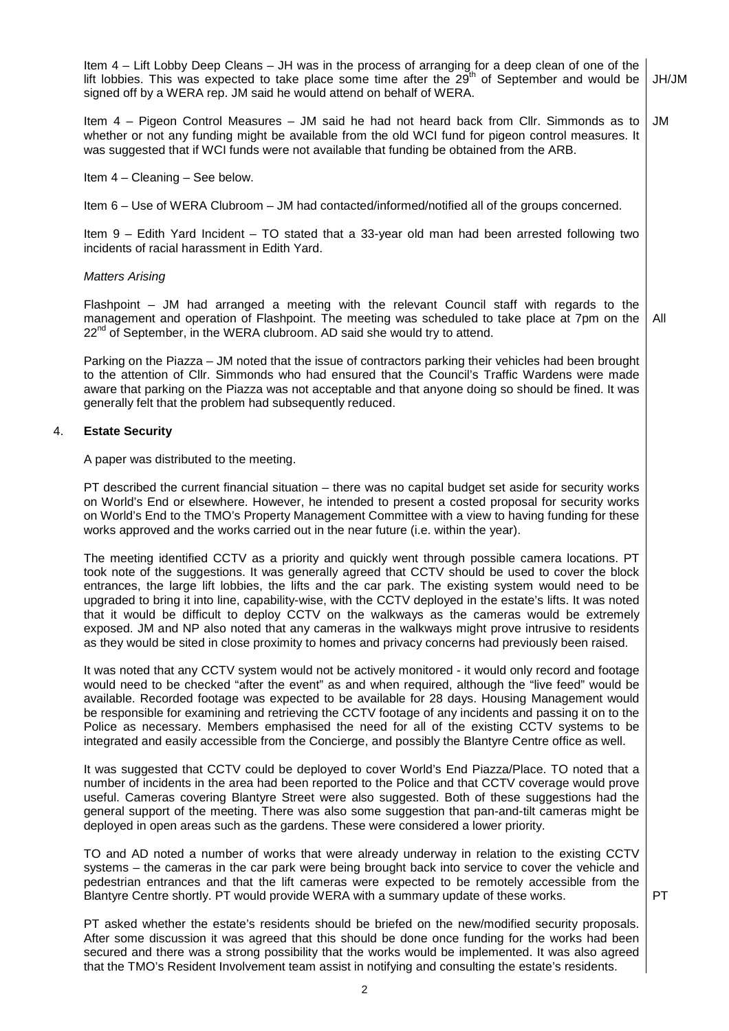|    | Item 4 – Lift Lobby Deep Cleans – JH was in the process of arranging for a deep clean of one of the<br>lift lobbies. This was expected to take place some time after the 29 <sup>th</sup> of September and would be<br>signed off by a WERA rep. JM said he would attend on behalf of WERA.                                                                                                                                                                                                                                                                                                                                                                                                                                            | JH/JM |
|----|----------------------------------------------------------------------------------------------------------------------------------------------------------------------------------------------------------------------------------------------------------------------------------------------------------------------------------------------------------------------------------------------------------------------------------------------------------------------------------------------------------------------------------------------------------------------------------------------------------------------------------------------------------------------------------------------------------------------------------------|-------|
|    | Item 4 – Pigeon Control Measures – JM said he had not heard back from Cllr. Simmonds as to<br>whether or not any funding might be available from the old WCI fund for pigeon control measures. It<br>was suggested that if WCI funds were not available that funding be obtained from the ARB.                                                                                                                                                                                                                                                                                                                                                                                                                                         | JM    |
|    | Item $4 -$ Cleaning $-$ See below.                                                                                                                                                                                                                                                                                                                                                                                                                                                                                                                                                                                                                                                                                                     |       |
|    | Item 6 – Use of WERA Clubroom – JM had contacted/informed/notified all of the groups concerned.                                                                                                                                                                                                                                                                                                                                                                                                                                                                                                                                                                                                                                        |       |
|    | Item $9$ – Edith Yard Incident – TO stated that a 33-year old man had been arrested following two<br>incidents of racial harassment in Edith Yard.                                                                                                                                                                                                                                                                                                                                                                                                                                                                                                                                                                                     |       |
|    | <b>Matters Arising</b>                                                                                                                                                                                                                                                                                                                                                                                                                                                                                                                                                                                                                                                                                                                 |       |
|    | Flashpoint – JM had arranged a meeting with the relevant Council staff with regards to the<br>management and operation of Flashpoint. The meeting was scheduled to take place at 7pm on the<br>22 <sup>nd</sup> of September, in the WERA clubroom. AD said she would try to attend.                                                                                                                                                                                                                                                                                                                                                                                                                                                   | All   |
|    | Parking on the Piazza - JM noted that the issue of contractors parking their vehicles had been brought<br>to the attention of Cllr. Simmonds who had ensured that the Council's Traffic Wardens were made<br>aware that parking on the Piazza was not acceptable and that anyone doing so should be fined. It was<br>generally felt that the problem had subsequently reduced.                                                                                                                                                                                                                                                                                                                                                         |       |
| 4. | <b>Estate Security</b>                                                                                                                                                                                                                                                                                                                                                                                                                                                                                                                                                                                                                                                                                                                 |       |
|    | A paper was distributed to the meeting.                                                                                                                                                                                                                                                                                                                                                                                                                                                                                                                                                                                                                                                                                                |       |
|    | PT described the current financial situation – there was no capital budget set aside for security works<br>on World's End or elsewhere. However, he intended to present a costed proposal for security works<br>on World's End to the TMO's Property Management Committee with a view to having funding for these<br>works approved and the works carried out in the near future (i.e. within the year).                                                                                                                                                                                                                                                                                                                               |       |
|    | The meeting identified CCTV as a priority and quickly went through possible camera locations. PT<br>took note of the suggestions. It was generally agreed that CCTV should be used to cover the block<br>entrances, the large lift lobbies, the lifts and the car park. The existing system would need to be<br>upgraded to bring it into line, capability-wise, with the CCTV deployed in the estate's lifts. It was noted<br>that it would be difficult to deploy CCTV on the walkways as the cameras would be extremely<br>exposed. JM and NP also noted that any cameras in the walkways might prove intrusive to residents<br>as they would be sited in close proximity to homes and privacy concerns had previously been raised. |       |
|    | It was noted that any CCTV system would not be actively monitored - it would only record and footage<br>would need to be checked "after the event" as and when required, although the "live feed" would be<br>available. Recorded footage was expected to be available for 28 days. Housing Management would<br>be responsible for examining and retrieving the CCTV footage of any incidents and passing it on to the<br>Police as necessary. Members emphasised the need for all of the existing CCTV systems to be<br>integrated and easily accessible from the Concierge, and possibly the Blantyre Centre office as well.                                                                                                         |       |
|    | It was suggested that CCTV could be deployed to cover World's End Piazza/Place. TO noted that a<br>number of incidents in the area had been reported to the Police and that CCTV coverage would prove<br>useful. Cameras covering Blantyre Street were also suggested. Both of these suggestions had the<br>general support of the meeting. There was also some suggestion that pan-and-tilt cameras might be<br>deployed in open areas such as the gardens. These were considered a lower priority.                                                                                                                                                                                                                                   |       |

TO and AD noted a number of works that were already underway in relation to the existing CCTV systems – the cameras in the car park were being brought back into service to cover the vehicle and pedestrian entrances and that the lift cameras were expected to be remotely accessible from the Blantyre Centre shortly. PT would provide WERA with a summary update of these works.

PT asked whether the estate's residents should be briefed on the new/modified security proposals. After some discussion it was agreed that this should be done once funding for the works had been secured and there was a strong possibility that the works would be implemented. It was also agreed that the TMO's Resident Involvement team assist in notifying and consulting the estate's residents.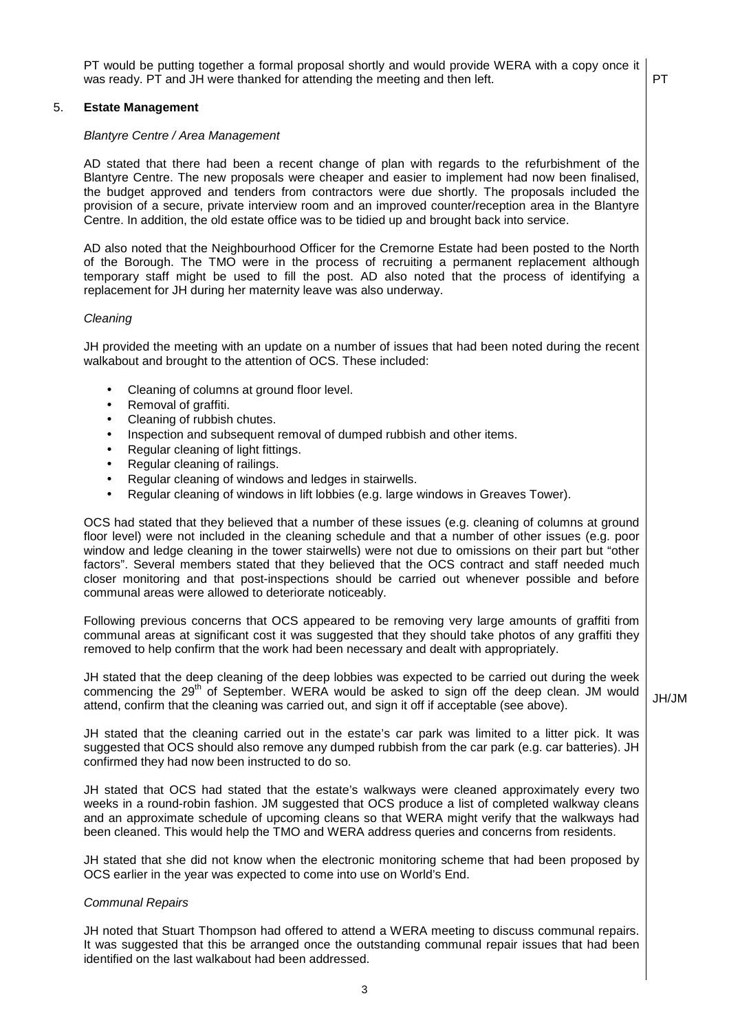PT would be putting together a formal proposal shortly and would provide WERA with a copy once it was ready. PT and JH were thanked for attending the meeting and then left.  $\boxed{PT}$ 

## 5. **Estate Management**

#### Blantyre Centre / Area Management

AD stated that there had been a recent change of plan with regards to the refurbishment of the Blantyre Centre. The new proposals were cheaper and easier to implement had now been finalised, the budget approved and tenders from contractors were due shortly. The proposals included the provision of a secure, private interview room and an improved counter/reception area in the Blantyre Centre. In addition, the old estate office was to be tidied up and brought back into service.

AD also noted that the Neighbourhood Officer for the Cremorne Estate had been posted to the North of the Borough. The TMO were in the process of recruiting a permanent replacement although temporary staff might be used to fill the post. AD also noted that the process of identifying a replacement for JH during her maternity leave was also underway.

#### **Cleaning**

JH provided the meeting with an update on a number of issues that had been noted during the recent walkabout and brought to the attention of OCS. These included:

- Cleaning of columns at ground floor level.
- Removal of graffiti.
- Cleaning of rubbish chutes.
- Inspection and subsequent removal of dumped rubbish and other items.
- Regular cleaning of light fittings.
- Regular cleaning of railings.
- Regular cleaning of windows and ledges in stairwells.
- Regular cleaning of windows in lift lobbies (e.g. large windows in Greaves Tower).

OCS had stated that they believed that a number of these issues (e.g. cleaning of columns at ground floor level) were not included in the cleaning schedule and that a number of other issues (e.g. poor window and ledge cleaning in the tower stairwells) were not due to omissions on their part but "other factors". Several members stated that they believed that the OCS contract and staff needed much closer monitoring and that post-inspections should be carried out whenever possible and before communal areas were allowed to deteriorate noticeably.

Following previous concerns that OCS appeared to be removing very large amounts of graffiti from communal areas at significant cost it was suggested that they should take photos of any graffiti they removed to help confirm that the work had been necessary and dealt with appropriately.

JH stated that the deep cleaning of the deep lobbies was expected to be carried out during the week commencing the 29<sup>th</sup> of September. WERA would be asked to sign off the deep clean. JM would attend, confirm that the cleaning was carried out, and sign it off if acceptable (see above).

JH stated that the cleaning carried out in the estate's car park was limited to a litter pick. It was suggested that OCS should also remove any dumped rubbish from the car park (e.g. car batteries). JH confirmed they had now been instructed to do so.

JH stated that OCS had stated that the estate's walkways were cleaned approximately every two weeks in a round-robin fashion. JM suggested that OCS produce a list of completed walkway cleans and an approximate schedule of upcoming cleans so that WERA might verify that the walkways had been cleaned. This would help the TMO and WERA address queries and concerns from residents.

JH stated that she did not know when the electronic monitoring scheme that had been proposed by OCS earlier in the year was expected to come into use on World's End.

## Communal Repairs

JH noted that Stuart Thompson had offered to attend a WERA meeting to discuss communal repairs. It was suggested that this be arranged once the outstanding communal repair issues that had been identified on the last walkabout had been addressed.

JH/JM